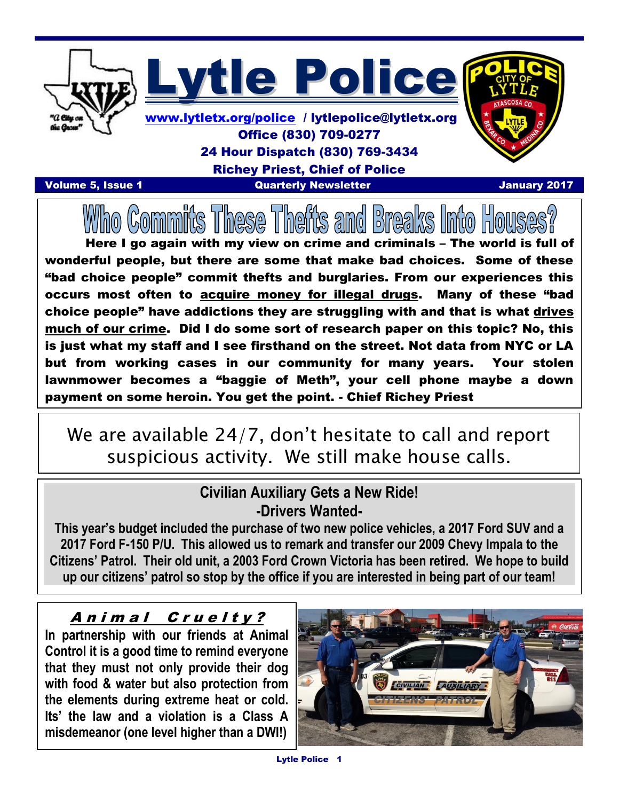

### 24 Hour Dispatch (830) 769-3434

Richey Priest, Chief of Police

Volume 5, Issue 1 Quarterly Newsletter January 2017

 I

Here I go again with my view on crime and criminals – The world is full of wonderful people, but there are some that make bad choices. Some of these "bad choice people" commit thefts and burglaries. From our experiences this occurs most often to acquire money for illegal drugs. Many of these "bad choice people" have addictions they are struggling with and that is what drives much of our crime. Did I do some sort of research paper on this topic? No, this is just what my staff and I see firsthand on the street. Not data from NYC or LA but from working cases in our community for many years. Your stolen lawnmower becomes a "baggie of Meth", your cell phone maybe a down payment on some heroin. You get the point. - Chief Richey Priest

# We are available 24/7, don't hesitate to call and report suspicious activity. We still make house calls.

#### **Civilian Auxiliary Gets a New Ride! -Drivers Wanted-**

**This year's budget included the purchase of two new police vehicles, a 2017 Ford SUV and a 2017 Ford F-150 P/U. This allowed us to remark and transfer our 2009 Chevy Impala to the Citizens' Patrol. Their old unit, a 2003 Ford Crown Victoria has been retired. We hope to build up our citizens' patrol so stop by the office if you are interested in being part of our team!**

#### Animal Cruelty?

**In partnership with our friends at Animal Control it is a good time to remind everyone that they must not only provide their dog with food & water but also protection from the elements during extreme heat or cold. Its' the law and a violation is a Class A misdemeanor (one level higher than a DWI!)**

 $\overline{a}$